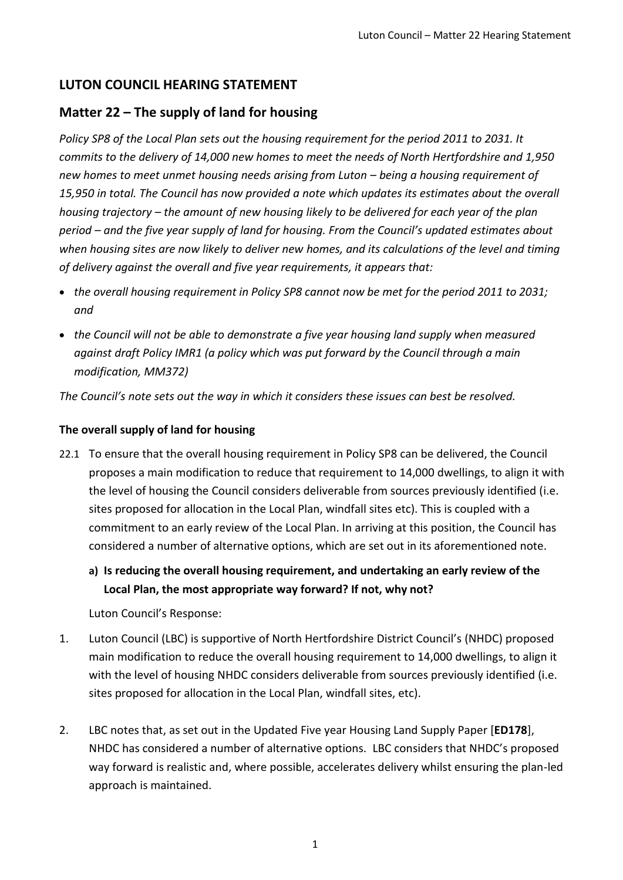# **LUTON COUNCIL HEARING STATEMENT**

# **Matter 22 – The supply of land for housing**

*Policy SP8 of the Local Plan sets out the housing requirement for the period 2011 to 2031. It commits to the delivery of 14,000 new homes to meet the needs of North Hertfordshire and 1,950 new homes to meet unmet housing needs arising from Luton – being a housing requirement of 15,950 in total. The Council has now provided a note which updates its estimates about the overall housing trajectory – the amount of new housing likely to be delivered for each year of the plan period – and the five year supply of land for housing. From the Council's updated estimates about when housing sites are now likely to deliver new homes, and its calculations of the level and timing of delivery against the overall and five year requirements, it appears that:*

- *the overall housing requirement in Policy SP8 cannot now be met for the period 2011 to 2031; and*
- *the Council will not be able to demonstrate a five year housing land supply when measured against draft Policy IMR1 (a policy which was put forward by the Council through a main modification, MM372)*

*The Council's note sets out the way in which it considers these issues can best be resolved.*

### **The overall supply of land for housing**

- 22.1 To ensure that the overall housing requirement in Policy SP8 can be delivered, the Council proposes a main modification to reduce that requirement to 14,000 dwellings, to align it with the level of housing the Council considers deliverable from sources previously identified (i.e. sites proposed for allocation in the Local Plan, windfall sites etc). This is coupled with a commitment to an early review of the Local Plan. In arriving at this position, the Council has considered a number of alternative options, which are set out in its aforementioned note.
	- **a) Is reducing the overall housing requirement, and undertaking an early review of the Local Plan, the most appropriate way forward? If not, why not?**

Luton Council's Response:

- 1. Luton Council (LBC) is supportive of North Hertfordshire District Council's (NHDC) proposed main modification to reduce the overall housing requirement to 14,000 dwellings, to align it with the level of housing NHDC considers deliverable from sources previously identified (i.e. sites proposed for allocation in the Local Plan, windfall sites, etc).
- 2. LBC notes that, as set out in the Updated Five year Housing Land Supply Paper [**ED178**], NHDC has considered a number of alternative options. LBC considers that NHDC's proposed way forward is realistic and, where possible, accelerates delivery whilst ensuring the plan-led approach is maintained.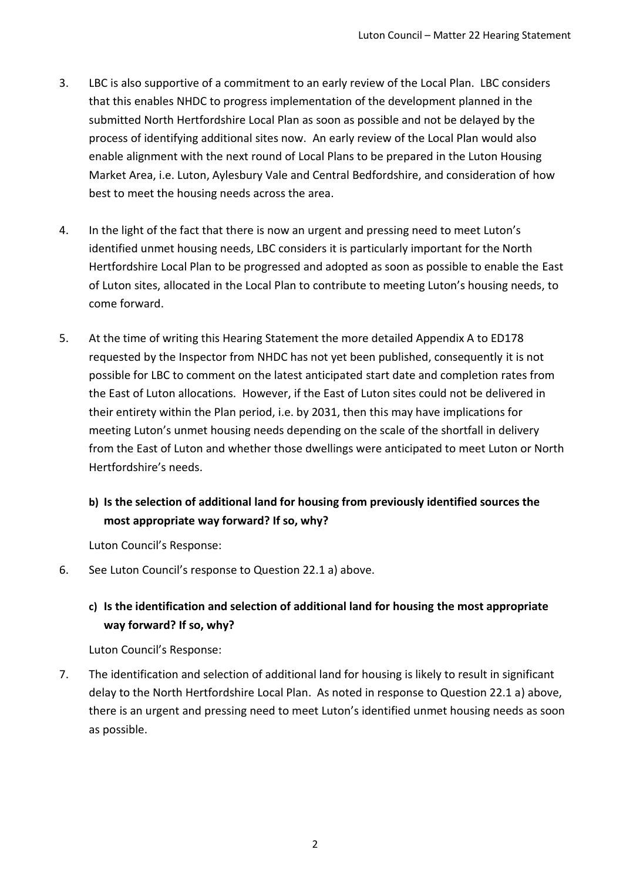- 3. LBC is also supportive of a commitment to an early review of the Local Plan. LBC considers that this enables NHDC to progress implementation of the development planned in the submitted North Hertfordshire Local Plan as soon as possible and not be delayed by the process of identifying additional sites now. An early review of the Local Plan would also enable alignment with the next round of Local Plans to be prepared in the Luton Housing Market Area, i.e. Luton, Aylesbury Vale and Central Bedfordshire, and consideration of how best to meet the housing needs across the area.
- 4. In the light of the fact that there is now an urgent and pressing need to meet Luton's identified unmet housing needs, LBC considers it is particularly important for the North Hertfordshire Local Plan to be progressed and adopted as soon as possible to enable the East of Luton sites, allocated in the Local Plan to contribute to meeting Luton's housing needs, to come forward.
- 5. At the time of writing this Hearing Statement the more detailed Appendix A to ED178 requested by the Inspector from NHDC has not yet been published, consequently it is not possible for LBC to comment on the latest anticipated start date and completion rates from the East of Luton allocations. However, if the East of Luton sites could not be delivered in their entirety within the Plan period, i.e. by 2031, then this may have implications for meeting Luton's unmet housing needs depending on the scale of the shortfall in delivery from the East of Luton and whether those dwellings were anticipated to meet Luton or North Hertfordshire's needs.

## **b) Is the selection of additional land for housing from previously identified sources the most appropriate way forward? If so, why?**

Luton Council's Response:

6. See Luton Council's response to Question 22.1 a) above.

## **c) Is the identification and selection of additional land for housing the most appropriate way forward? If so, why?**

Luton Council's Response:

7. The identification and selection of additional land for housing is likely to result in significant delay to the North Hertfordshire Local Plan. As noted in response to Question 22.1 a) above, there is an urgent and pressing need to meet Luton's identified unmet housing needs as soon as possible.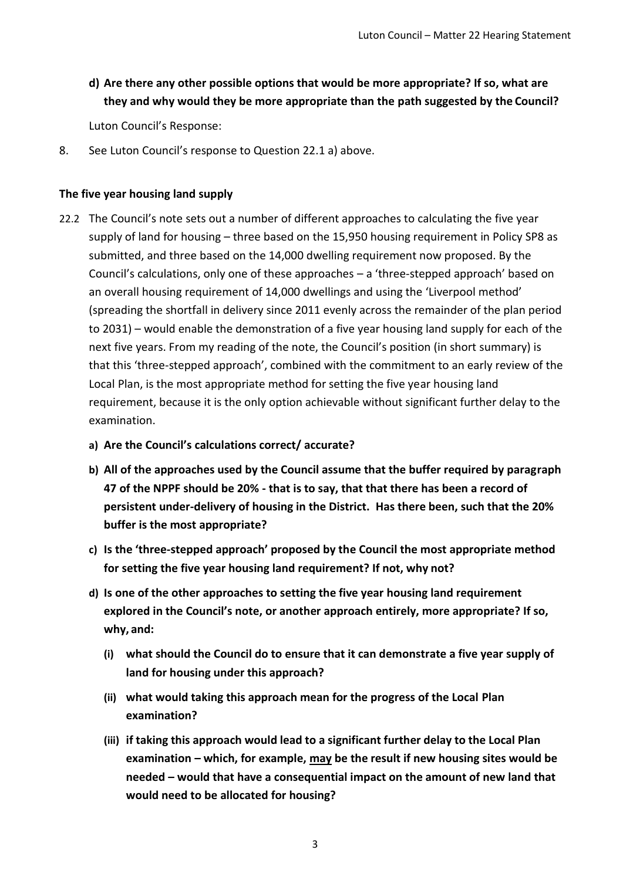## **d) Are there any other possible options that would be more appropriate? If so, what are they and why would they be more appropriate than the path suggested by the Council?**

Luton Council's Response:

8. See Luton Council's response to Question 22.1 a) above.

#### **The five year housing land supply**

- 22.2 The Council's note sets out a number of different approaches to calculating the five year supply of land for housing – three based on the 15,950 housing requirement in Policy SP8 as submitted, and three based on the 14,000 dwelling requirement now proposed. By the Council's calculations, only one of these approaches – a 'three-stepped approach' based on an overall housing requirement of 14,000 dwellings and using the 'Liverpool method' (spreading the shortfall in delivery since 2011 evenly across the remainder of the plan period to 2031) – would enable the demonstration of a five year housing land supply for each of the next five years. From my reading of the note, the Council's position (in short summary) is that this 'three-stepped approach', combined with the commitment to an early review of the Local Plan, is the most appropriate method for setting the five year housing land requirement, because it is the only option achievable without significant further delay to the examination.
	- **a) Are the Council's calculations correct/ accurate?**
	- **b) All of the approaches used by the Council assume that the buffer required by paragraph 47 of the NPPF should be 20% - that is to say, that that there has been a record of persistent under-delivery of housing in the District. Has there been, such that the 20% buffer is the most appropriate?**
	- **c) Is the 'three-stepped approach' proposed by the Council the most appropriate method for setting the five year housing land requirement? If not, why not?**
	- **d) Is one of the other approaches to setting the five year housing land requirement explored in the Council's note, or another approach entirely, more appropriate? If so, why, and:**
		- **(i) what should the Council do to ensure that it can demonstrate a five year supply of land for housing under this approach?**
		- **(ii) what would taking this approach mean for the progress of the Local Plan examination?**
		- **(iii) if taking this approach would lead to a significant further delay to the Local Plan examination – which, for example, may be the result if new housing sites would be needed – would that have a consequential impact on the amount of new land that would need to be allocated for housing?**